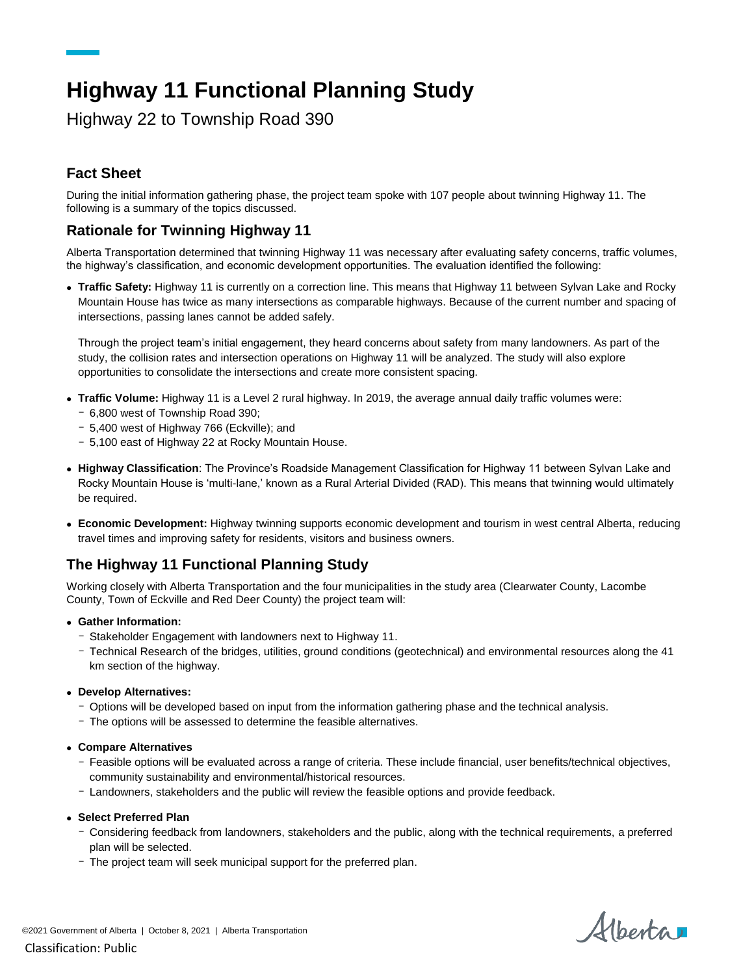# **Highway 11 Functional Planning Study**

Highway 22 to Township Road 390

# **Fact Sheet**

During the initial information gathering phase, the project team spoke with 107 people about twinning Highway 11. The following is a summary of the topics discussed.

### **Rationale for Twinning Highway 11**

Alberta Transportation determined that twinning Highway 11 was necessary after evaluating safety concerns, traffic volumes, the highway's classification, and economic development opportunities. The evaluation identified the following:

 **Traffic Safety:** Highway 11 is currently on a correction line. This means that Highway 11 between Sylvan Lake and Rocky Mountain House has twice as many intersections as comparable highways. Because of the current number and spacing of intersections, passing lanes cannot be added safely.

Through the project team's initial engagement, they heard concerns about safety from many landowners. As part of the study, the collision rates and intersection operations on Highway 11 will be analyzed. The study will also explore opportunities to consolidate the intersections and create more consistent spacing.

- **Traffic Volume:** Highway 11 is a Level 2 rural highway. In 2019, the average annual daily traffic volumes were:
	- 6,800 west of Township Road 390;
	- 5,400 west of Highway 766 (Eckville); and
	- 5,100 east of Highway 22 at Rocky Mountain House.
- **Highway Classification**: The Province's Roadside Management Classification for Highway 11 between Sylvan Lake and Rocky Mountain House is 'multi-lane,' known as a Rural Arterial Divided (RAD). This means that twinning would ultimately be required.
- **Economic Development:** Highway twinning supports economic development and tourism in west central Alberta, reducing travel times and improving safety for residents, visitors and business owners.

#### **The Highway 11 Functional Planning Study**

Working closely with Alberta Transportation and the four municipalities in the study area (Clearwater County, Lacombe County, Town of Eckville and Red Deer County) the project team will:

- **Gather Information:** 
	- Stakeholder Engagement with landowners next to Highway 11.
	- Technical Research of the bridges, utilities, ground conditions (geotechnical) and environmental resources along the 41 km section of the highway.
- **Develop Alternatives:** 
	- Options will be developed based on input from the information gathering phase and the technical analysis.
	- The options will be assessed to determine the feasible alternatives.
- **Compare Alternatives** 
	- Feasible options will be evaluated across a range of criteria. These include financial, user benefits/technical objectives, community sustainability and environmental/historical resources.
	- Landowners, stakeholders and the public will review the feasible options and provide feedback.
- **Select Preferred Plan** 
	- Considering feedback from landowners, stakeholders and the public, along with the technical requirements, a preferred plan will be selected.
	- The project team will seek municipal support for the preferred plan.